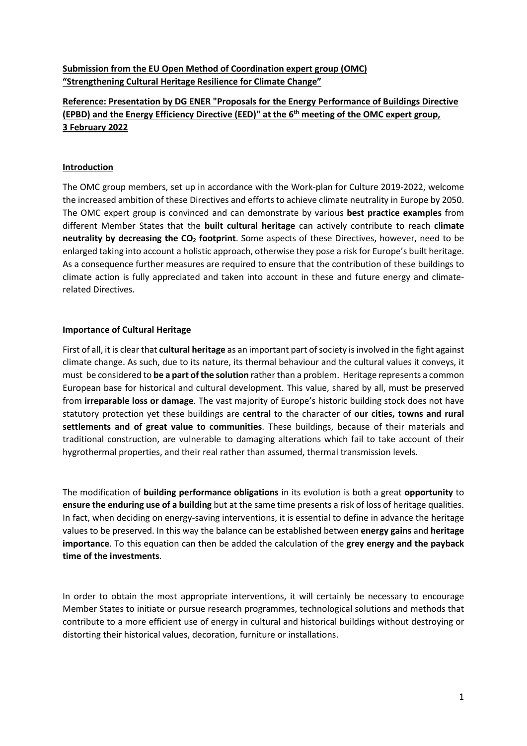# **Submission from the EU Open Method of Coordination expert group (OMC) "Strengthening Cultural Heritage Resilience for Climate Change"**

# **Reference: Presentation by DG ENER "Proposals for the Energy Performance of Buildings Directive (EPBD) and the Energy Efficiency Directive (EED)" at the 6th meeting of the OMC expert group, 3 February 2022**

### **Introduction**

The OMC group members, set up in accordance with the Work-plan for Culture 2019-2022, welcome the increased ambition of these Directives and efforts to achieve climate neutrality in Europe by 2050. The OMC expert group is convinced and can demonstrate by various **best practice examples** from different Member States that the **built cultural heritage** can actively contribute to reach **climate neutrality by decreasing the CO2 footprint**. Some aspects of these Directives, however, need to be enlarged taking into account a holistic approach, otherwise they pose a risk for Europe's built heritage. As a consequence further measures are required to ensure that the contribution of these buildings to climate action is fully appreciated and taken into account in these and future energy and climaterelated Directives.

### **Importance of Cultural Heritage**

First of all, it is clear that **cultural heritage** as an important part of society is involved in the fight against climate change. As such, due to its nature, its thermal behaviour and the cultural values it conveys, it must be considered to **be a part of the solution** rather than a problem. Heritage represents a common European base for historical and cultural development. This value, shared by all, must be preserved from **irreparable loss or damage**. The vast majority of Europe's historic building stock does not have statutory protection yet these buildings are **central** to the character of **our cities, towns and rural settlements and of great value to communities**. These buildings, because of their materials and traditional construction, are vulnerable to damaging alterations which fail to take account of their hygrothermal properties, and their real rather than assumed, thermal transmission levels.

The modification of **building performance obligations** in its evolution is both a great **opportunity** to **ensure the enduring use of a building** but at the same time presents a risk of loss of heritage qualities. In fact, when deciding on energy-saving interventions, it is essential to define in advance the heritage values to be preserved. In this way the balance can be established between **energy gains** and **heritage importance**. To this equation can then be added the calculation of the **grey energy and the payback time of the investments**.

In order to obtain the most appropriate interventions, it will certainly be necessary to encourage Member States to initiate or pursue research programmes, technological solutions and methods that contribute to a more efficient use of energy in cultural and historical buildings without destroying or distorting their historical values, decoration, furniture or installations.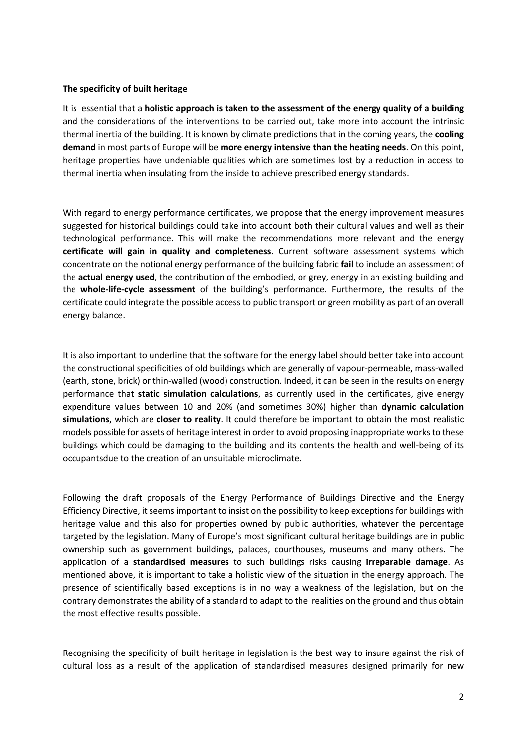#### **The specificity of built heritage**

It is essential that a **holistic approach is taken to the assessment of the energy quality of a building** and the considerations of the interventions to be carried out, take more into account the intrinsic thermal inertia of the building. It is known by climate predictions that in the coming years, the **cooling demand** in most parts of Europe will be **more energy intensive than the heating needs**. On this point, heritage properties have undeniable qualities which are sometimes lost by a reduction in access to thermal inertia when insulating from the inside to achieve prescribed energy standards.

With regard to energy performance certificates, we propose that the energy improvement measures suggested for historical buildings could take into account both their cultural values and well as their technological performance. This will make the recommendations more relevant and the energy **certificate will gain in quality and completeness**. Current software assessment systems which concentrate on the notional energy performance of the building fabric **fail** to include an assessment of the **actual energy used**, the contribution of the embodied, or grey, energy in an existing building and the **whole-life-cycle assessment** of the building's performance. Furthermore, the results of the certificate could integrate the possible access to public transport or green mobility as part of an overall energy balance.

It is also important to underline that the software for the energy label should better take into account the constructional specificities of old buildings which are generally of vapour-permeable, mass-walled (earth, stone, brick) or thin-walled (wood) construction. Indeed, it can be seen in the results on energy performance that **static simulation calculations**, as currently used in the certificates, give energy expenditure values between 10 and 20% (and sometimes 30%) higher than **dynamic calculation simulations**, which are **closer to reality**. It could therefore be important to obtain the most realistic models possible for assets of heritage interest in order to avoid proposing inappropriate works to these buildings which could be damaging to the building and its contents the health and well-being of its occupantsdue to the creation of an unsuitable microclimate.

Following the draft proposals of the Energy Performance of Buildings Directive and the Energy Efficiency Directive, it seems important to insist on the possibility to keep exceptionsfor buildings with heritage value and this also for properties owned by public authorities, whatever the percentage targeted by the legislation. Many of Europe's most significant cultural heritage buildings are in public ownership such as government buildings, palaces, courthouses, museums and many others. The application of a **standardised measures** to such buildings risks causing **irreparable damage**. As mentioned above, it is important to take a holistic view of the situation in the energy approach. The presence of scientifically based exceptions is in no way a weakness of the legislation, but on the contrary demonstrates the ability of a standard to adapt to the realities on the ground and thus obtain the most effective results possible.

Recognising the specificity of built heritage in legislation is the best way to insure against the risk of cultural loss as a result of the application of standardised measures designed primarily for new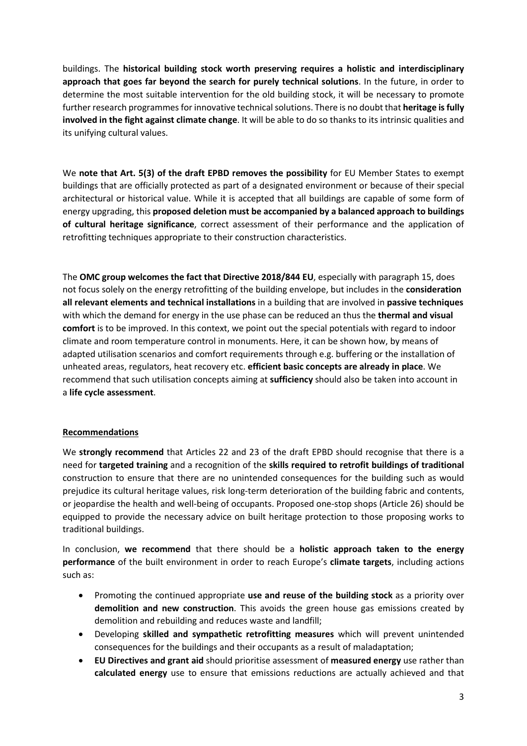buildings. The **historical building stock worth preserving requires a holistic and interdisciplinary approach that goes far beyond the search for purely technical solutions**. In the future, in order to determine the most suitable intervention for the old building stock, it will be necessary to promote further research programmes for innovative technical solutions. There is no doubt that **heritage is fully involved in the fight against climate change**. It will be able to do so thanks to its intrinsic qualities and its unifying cultural values.

We **note that Art. 5(3) of the draft EPBD removes the possibility** for EU Member States to exempt buildings that are officially protected as part of a designated environment or because of their special architectural or historical value. While it is accepted that all buildings are capable of some form of energy upgrading, this **proposed deletion must be accompanied by a balanced approach to buildings of cultural heritage significance**, correct assessment of their performance and the application of retrofitting techniques appropriate to their construction characteristics.

The **OMC group welcomes the fact that Directive 2018/844 EU**, especially with paragraph 15, does not focus solely on the energy retrofitting of the building envelope, but includes in the **consideration all relevant elements and technical installations** in a building that are involved in **passive techniques**  with which the demand for energy in the use phase can be reduced an thus the **thermal and visual comfort** is to be improved. In this context, we point out the special potentials with regard to indoor climate and room temperature control in monuments. Here, it can be shown how, by means of adapted utilisation scenarios and comfort requirements through e.g. buffering or the installation of unheated areas, regulators, heat recovery etc. **efficient basic concepts are already in place**. We recommend that such utilisation concepts aiming at **sufficiency** should also be taken into account in a **life cycle assessment**.

#### **Recommendations**

We **strongly recommend** that Articles 22 and 23 of the draft EPBD should recognise that there is a need for **targeted training** and a recognition of the **skills required to retrofit buildings of traditional**  construction to ensure that there are no unintended consequences for the building such as would prejudice its cultural heritage values, risk long-term deterioration of the building fabric and contents, or jeopardise the health and well-being of occupants. Proposed one-stop shops (Article 26) should be equipped to provide the necessary advice on built heritage protection to those proposing works to traditional buildings.

In conclusion, **we recommend** that there should be a **holistic approach taken to the energy performance** of the built environment in order to reach Europe's **climate targets**, including actions such as:

- Promoting the continued appropriate **use and reuse of the building stock** as a priority over **demolition and new construction**. This avoids the green house gas emissions created by demolition and rebuilding and reduces waste and landfill;
- Developing **skilled and sympathetic retrofitting measures** which will prevent unintended consequences for the buildings and their occupants as a result of maladaptation;
- **EU Directives and grant aid** should prioritise assessment of **measured energy** use rather than **calculated energy** use to ensure that emissions reductions are actually achieved and that